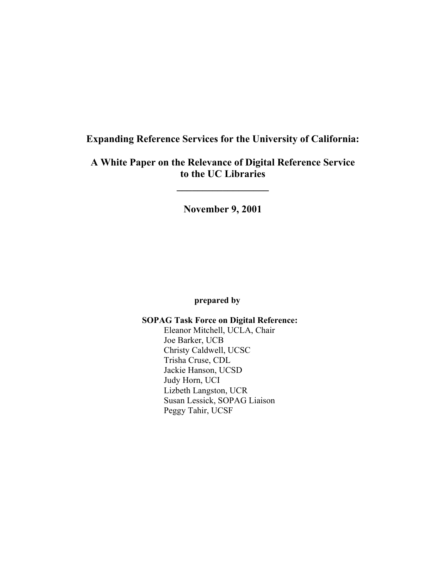# **Expanding Reference Services for the University of California:**

# **A White Paper on the Relevance of Digital Reference Service to the UC Libraries**

**\_\_\_\_\_\_\_\_\_\_\_\_\_\_\_\_\_\_** 

**November 9, 2001**

## **prepared by**

 **SOPAG Task Force on Digital Reference:** Eleanor Mitchell, UCLA, Chair Joe Barker, UCB Christy Caldwell, UCSC Trisha Cruse, CDL Jackie Hanson, UCSD Judy Horn, UCI Lizbeth Langston, UCR Susan Lessick, SOPAG Liaison Peggy Tahir, UCSF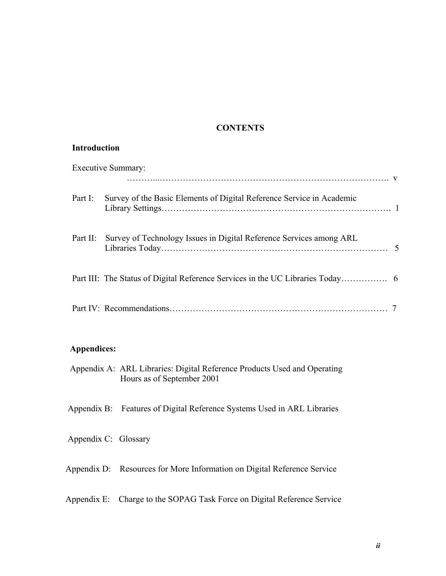## **CONTENTS**

#### **Introduction**

| <b>Executive Summary:</b> |                                                                       |  |
|---------------------------|-----------------------------------------------------------------------|--|
| Part I:                   | Survey of the Basic Elements of Digital Reference Service in Academic |  |
| Part II:                  | Survey of Technology Issues in Digital Reference Services among ARL   |  |
|                           |                                                                       |  |
|                           |                                                                       |  |

## **Appendices:**

 Appendix A: ARL Libraries: Digital Reference Products Used and Operating Hours as of September 2001

Appendix B: Features of Digital Reference Systems Used in ARL Libraries

Appendix C: Glossary

Appendix D: Resources for More Information on Digital Reference Service

Appendix E: Charge to the SOPAG Task Force on Digital Reference Service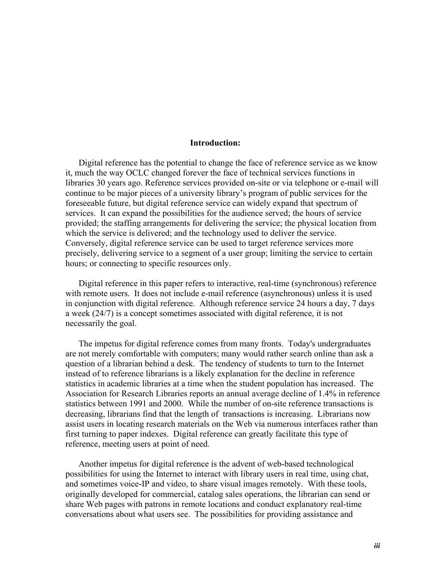#### **Introduction:**

 Digital reference has the potential to change the face of reference service as we know it, much the way OCLC changed forever the face of technical services functions in libraries 30 years ago. Reference services provided on-site or via telephone or e-mail will continue to be major pieces of a university library's program of public services for the foreseeable future, but digital reference service can widely expand that spectrum of services. It can expand the possibilities for the audience served; the hours of service provided; the staffing arrangements for delivering the service; the physical location from which the service is delivered; and the technology used to deliver the service. Conversely, digital reference service can be used to target reference services more precisely, delivering service to a segment of a user group; limiting the service to certain hours; or connecting to specific resources only.

 Digital reference in this paper refers to interactive, real-time (synchronous) reference with remote users. It does not include e-mail reference (asynchronous) unless it is used in conjunction with digital reference. Although reference service 24 hours a day, 7 days a week (24/7) is a concept sometimes associated with digital reference, it is not necessarily the goal.

 The impetus for digital reference comes from many fronts. Today's undergraduates are not merely comfortable with computers; many would rather search online than ask a question of a librarian behind a desk. The tendency of students to turn to the Internet instead of to reference librarians is a likely explanation for the decline in reference statistics in academic libraries at a time when the student population has increased. The Association for Research Libraries reports an annual average decline of 1.4% in reference statistics between 1991 and 2000. While the number of on-site reference transactions is decreasing, librarians find that the length of transactions is increasing. Librarians now assist users in locating research materials on the Web via numerous interfaces rather than first turning to paper indexes. Digital reference can greatly facilitate this type of reference, meeting users at point of need.

 Another impetus for digital reference is the advent of web-based technological possibilities for using the Internet to interact with library users in real time, using chat, and sometimes voice-IP and video, to share visual images remotely. With these tools, originally developed for commercial, catalog sales operations, the librarian can send or share Web pages with patrons in remote locations and conduct explanatory real-time conversations about what users see. The possibilities for providing assistance and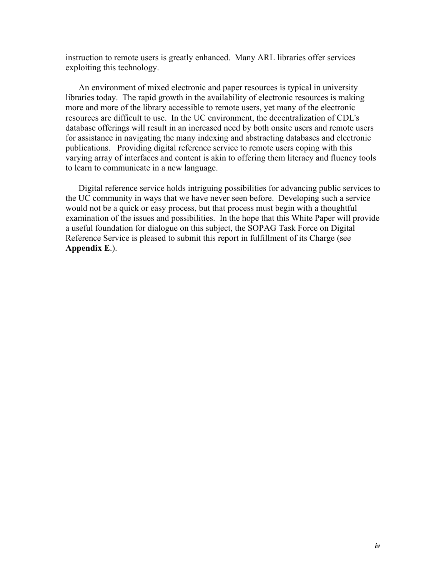instruction to remote users is greatly enhanced. Many ARL libraries offer services exploiting this technology.

 An environment of mixed electronic and paper resources is typical in university libraries today. The rapid growth in the availability of electronic resources is making more and more of the library accessible to remote users, yet many of the electronic resources are difficult to use. In the UC environment, the decentralization of CDL's database offerings will result in an increased need by both onsite users and remote users for assistance in navigating the many indexing and abstracting databases and electronic publications. Providing digital reference service to remote users coping with this varying array of interfaces and content is akin to offering them literacy and fluency tools to learn to communicate in a new language.

 Digital reference service holds intriguing possibilities for advancing public services to the UC community in ways that we have never seen before. Developing such a service would not be a quick or easy process, but that process must begin with a thoughtful examination of the issues and possibilities. In the hope that this White Paper will provide a useful foundation for dialogue on this subject, the SOPAG Task Force on Digital Reference Service is pleased to submit this report in fulfillment of its Charge (see **Appendix E**.).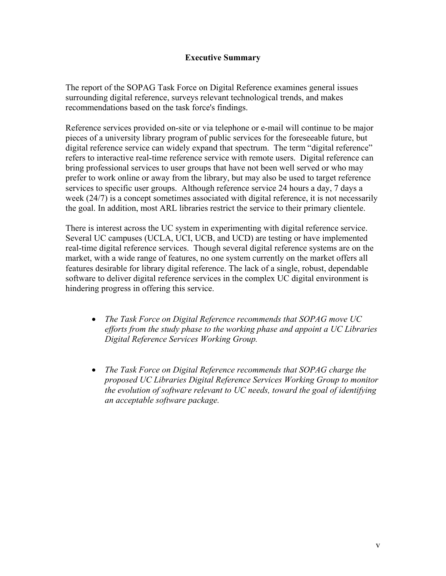## **Executive Summary**

The report of the SOPAG Task Force on Digital Reference examines general issues surrounding digital reference, surveys relevant technological trends, and makes recommendations based on the task force's findings.

Reference services provided on-site or via telephone or e-mail will continue to be major pieces of a university library program of public services for the foreseeable future, but digital reference service can widely expand that spectrum. The term "digital reference" refers to interactive real-time reference service with remote users. Digital reference can bring professional services to user groups that have not been well served or who may prefer to work online or away from the library, but may also be used to target reference services to specific user groups. Although reference service 24 hours a day, 7 days a week (24/7) is a concept sometimes associated with digital reference, it is not necessarily the goal. In addition, most ARL libraries restrict the service to their primary clientele.

There is interest across the UC system in experimenting with digital reference service. Several UC campuses (UCLA, UCI, UCB, and UCD) are testing or have implemented real-time digital reference services. Though several digital reference systems are on the market, with a wide range of features, no one system currently on the market offers all features desirable for library digital reference. The lack of a single, robust, dependable software to deliver digital reference services in the complex UC digital environment is hindering progress in offering this service.

- *The Task Force on Digital Reference recommends that SOPAG move UC efforts from the study phase to the working phase and appoint a UC Libraries Digital Reference Services Working Group.*
- *The Task Force on Digital Reference recommends that SOPAG charge the proposed UC Libraries Digital Reference Services Working Group to monitor the evolution of software relevant to UC needs, toward the goal of identifying an acceptable software package.*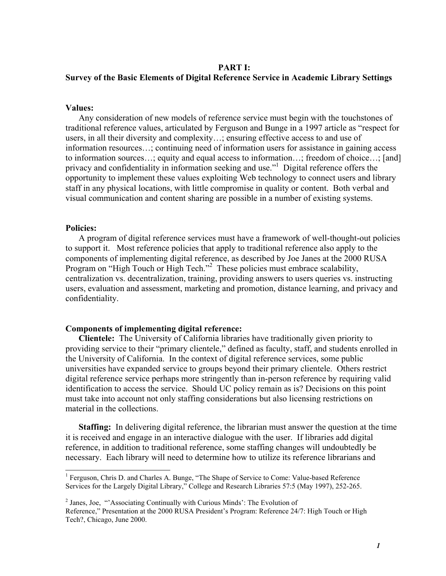#### **PART I:**

#### **Survey of the Basic Elements of Digital Reference Service in Academic Library Settings**

#### **Values:**

 Any consideration of new models of reference service must begin with the touchstones of traditional reference values, articulated by Ferguson and Bunge in a 1997 article as "respect for users, in all their diversity and complexity…; ensuring effective access to and use of information resources…; continuing need of information users for assistance in gaining access to information sources…; equity and equal access to information…; freedom of choice…; [and] privacy and confidentiality in information seeking and use."<sup>1</sup> Digital reference offers the opportunity to implement these values exploiting Web technology to connect users and library staff in any physical locations, with little compromise in quality or content. Both verbal and visual communication and content sharing are possible in a number of existing systems.

#### **Policies:**

 A program of digital reference services must have a framework of well-thought-out policies to support it. Most reference policies that apply to traditional reference also apply to the components of implementing digital reference, as described by Joe Janes at the 2000 RUSA Program on "High Touch or High Tech."<sup>2</sup> These policies must embrace scalability, centralization vs. decentralization, training, providing answers to users queries vs. instructing users, evaluation and assessment, marketing and promotion, distance learning, and privacy and confidentiality.

#### **Components of implementing digital reference:**

 **Clientele:** The University of California libraries have traditionally given priority to providing service to their "primary clientele," defined as faculty, staff, and students enrolled in the University of California. In the context of digital reference services, some public universities have expanded service to groups beyond their primary clientele. Others restrict digital reference service perhaps more stringently than in-person reference by requiring valid identification to access the service. Should UC policy remain as is? Decisions on this point must take into account not only staffing considerations but also licensing restrictions on material in the collections.

 **Staffing:** In delivering digital reference, the librarian must answer the question at the time it is received and engage in an interactive dialogue with the user. If libraries add digital reference, in addition to traditional reference, some staffing changes will undoubtedly be necessary. Each library will need to determine how to utilize its reference librarians and

<sup>&</sup>lt;sup>1</sup> Ferguson, Chris D. and Charles A. Bunge, "The Shape of Service to Come: Value-based Reference Services for the Largely Digital Library," College and Research Libraries 57:5 (May 1997), 252-265.

<sup>&</sup>lt;sup>2</sup> Janes, Joe, "Associating Continually with Curious Minds': The Evolution of Reference," Presentation at the 2000 RUSA President's Program: Reference 24/7: High Touch or High Tech?, Chicago, June 2000.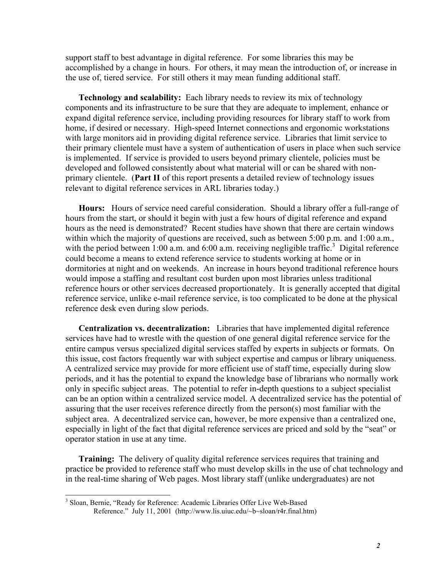support staff to best advantage in digital reference. For some libraries this may be accomplished by a change in hours. For others, it may mean the introduction of, or increase in the use of, tiered service. For still others it may mean funding additional staff.

 **Technology and scalability:** Each library needs to review its mix of technology components and its infrastructure to be sure that they are adequate to implement, enhance or expand digital reference service, including providing resources for library staff to work from home, if desired or necessary. High-speed Internet connections and ergonomic workstations with large monitors aid in providing digital reference service. Libraries that limit service to their primary clientele must have a system of authentication of users in place when such service is implemented. If service is provided to users beyond primary clientele, policies must be developed and followed consistently about what material will or can be shared with nonprimary clientele. (**Part II** of this report presents a detailed review of technology issues relevant to digital reference services in ARL libraries today.)

 **Hours:** Hours of service need careful consideration. Should a library offer a full-range of hours from the start, or should it begin with just a few hours of digital reference and expand hours as the need is demonstrated? Recent studies have shown that there are certain windows within which the majority of questions are received, such as between 5:00 p.m. and 1:00 a.m., with the period between 1:00 a.m. and 6:00 a.m. receiving negligible traffic.<sup>3</sup> Digital reference could become a means to extend reference service to students working at home or in dormitories at night and on weekends. An increase in hours beyond traditional reference hours would impose a staffing and resultant cost burden upon most libraries unless traditional reference hours or other services decreased proportionately. It is generally accepted that digital reference service, unlike e-mail reference service, is too complicated to be done at the physical reference desk even during slow periods.

 **Centralization vs. decentralization:** Libraries that have implemented digital reference services have had to wrestle with the question of one general digital reference service for the entire campus versus specialized digital services staffed by experts in subjects or formats. On this issue, cost factors frequently war with subject expertise and campus or library uniqueness. A centralized service may provide for more efficient use of staff time, especially during slow periods, and it has the potential to expand the knowledge base of librarians who normally work only in specific subject areas. The potential to refer in-depth questions to a subject specialist can be an option within a centralized service model. A decentralized service has the potential of assuring that the user receives reference directly from the person(s) most familiar with the subject area. A decentralized service can, however, be more expensive than a centralized one, especially in light of the fact that digital reference services are priced and sold by the "seat" or operator station in use at any time.

 **Training:** The delivery of quality digital reference services requires that training and practice be provided to reference staff who must develop skills in the use of chat technology and in the real-time sharing of Web pages. Most library staff (unlike undergraduates) are not

 3 Sloan, Bernie, "Ready for Reference: Academic Libraries Offer Live Web-Based Reference." July 11, 2001 (http://www.lis.uiuc.edu/~b~sloan/r4r.final.htm)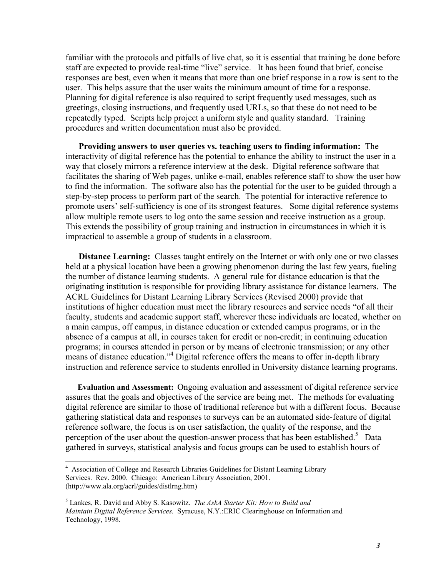familiar with the protocols and pitfalls of live chat, so it is essential that training be done before staff are expected to provide real-time "live" service. It has been found that brief, concise responses are best, even when it means that more than one brief response in a row is sent to the user. This helps assure that the user waits the minimum amount of time for a response. Planning for digital reference is also required to script frequently used messages, such as greetings, closing instructions, and frequently used URLs, so that these do not need to be repeatedly typed. Scripts help project a uniform style and quality standard. Training procedures and written documentation must also be provided.

 **Providing answers to user queries vs. teaching users to finding information:** The interactivity of digital reference has the potential to enhance the ability to instruct the user in a way that closely mirrors a reference interview at the desk. Digital reference software that facilitates the sharing of Web pages, unlike e-mail, enables reference staff to show the user how to find the information. The software also has the potential for the user to be guided through a step-by-step process to perform part of the search. The potential for interactive reference to promote users' self-sufficiency is one of its strongest features. Some digital reference systems allow multiple remote users to log onto the same session and receive instruction as a group. This extends the possibility of group training and instruction in circumstances in which it is impractical to assemble a group of students in a classroom.

**Distance Learning:** Classes taught entirely on the Internet or with only one or two classes held at a physical location have been a growing phenomenon during the last few years, fueling the number of distance learning students. A general rule for distance education is that the originating institution is responsible for providing library assistance for distance learners. The ACRL Guidelines for Distant Learning Library Services (Revised 2000) provide that institutions of higher education must meet the library resources and service needs "of all their faculty, students and academic support staff, wherever these individuals are located, whether on a main campus, off campus, in distance education or extended campus programs, or in the absence of a campus at all, in courses taken for credit or non-credit; in continuing education programs; in courses attended in person or by means of electronic transmission; or any other means of distance education."<sup>4</sup> Digital reference offers the means to offer in-depth library instruction and reference service to students enrolled in University distance learning programs.

 **Evaluation and Assessment:** Ongoing evaluation and assessment of digital reference service assures that the goals and objectives of the service are being met. The methods for evaluating digital reference are similar to those of traditional reference but with a different focus. Because gathering statistical data and responses to surveys can be an automated side-feature of digital reference software, the focus is on user satisfaction, the quality of the response, and the perception of the user about the question-answer process that has been established.<sup>5</sup> Data gathered in surveys, statistical analysis and focus groups can be used to establish hours of

 4 Association of College and Research Libraries Guidelines for Distant Learning Library Services. Rev. 2000. Chicago: American Library Association, 2001. (http://www.ala.org/acrl/guides/distlrng.htm)

<sup>5</sup> Lankes, R. David and Abby S. Kasowitz. *The AskA Starter Kit: How to Build and Maintain Digital Reference Services.* Syracuse, N.Y.:ERIC Clearinghouse on Information and Technology, 1998.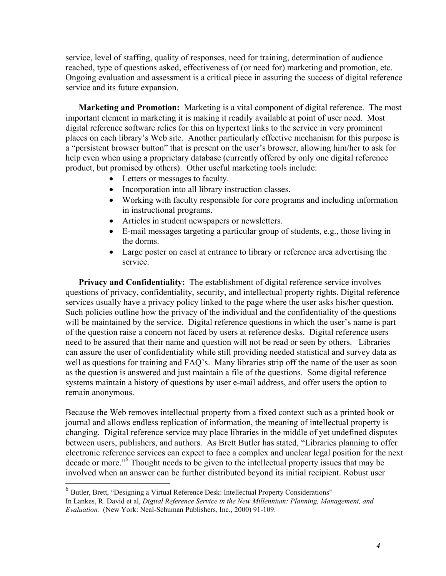service, level of staffing, quality of responses, need for training, determination of audience reached, type of questions asked, effectiveness of (or need for) marketing and promotion, etc. Ongoing evaluation and assessment is a critical piece in assuring the success of digital reference service and its future expansion.

 **Marketing and Promotion:** Marketing is a vital component of digital reference. The most important element in marketing it is making it readily available at point of user need. Most digital reference software relies for this on hypertext links to the service in very prominent places on each library's Web site. Another particularly effective mechanism for this purpose is a "persistent browser button" that is present on the user's browser, allowing him/her to ask for help even when using a proprietary database (currently offered by only one digital reference product, but promised by others). Other useful marketing tools include:

- Letters or messages to faculty.
- Incorporation into all library instruction classes.
- Working with faculty responsible for core programs and including information in instructional programs.
- Articles in student newspapers or newsletters.
- E-mail messages targeting a particular group of students, e.g., those living in the dorms.
- Large poster on easel at entrance to library or reference area advertising the service.

 **Privacy and Confidentiality:** The establishment of digital reference service involves questions of privacy, confidentiality, security, and intellectual property rights. Digital reference services usually have a privacy policy linked to the page where the user asks his/her question. Such policies outline how the privacy of the individual and the confidentiality of the questions will be maintained by the service. Digital reference questions in which the user's name is part of the question raise a concern not faced by users at reference desks. Digital reference users need to be assured that their name and question will not be read or seen by others. Libraries can assure the user of confidentiality while still providing needed statistical and survey data as well as questions for training and FAQ's. Many libraries strip off the name of the user as soon as the question is answered and just maintain a file of the questions. Some digital reference systems maintain a history of questions by user e-mail address, and offer users the option to remain anonymous.

Because the Web removes intellectual property from a fixed context such as a printed book or journal and allows endless replication of information, the meaning of intellectual property is changing. Digital reference service may place libraries in the middle of yet undefined disputes between users, publishers, and authors. As Brett Butler has stated, "Libraries planning to offer electronic reference services can expect to face a complex and unclear legal position for the next decade or more."<sup>6</sup> Thought needs to be given to the intellectual property issues that may be involved when an answer can be further distributed beyond its initial recipient. Robust user

 $\overline{a}$ 

<sup>6</sup> Butler, Brett, "Designing a Virtual Reference Desk: Intellectual Property Considerations" In Lankes, R. David et al, *Digital Reference Service in the New Millennium: Planning, Management, and Evaluation.* (New York: Neal-Schuman Publishers, Inc., 2000) 91-109.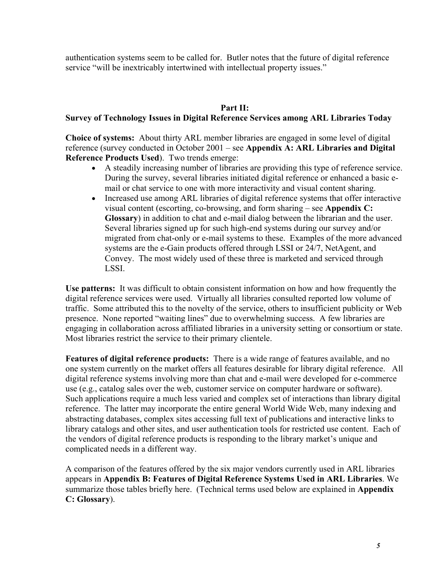authentication systems seem to be called for. Butler notes that the future of digital reference service "will be inextricably intertwined with intellectual property issues."

## **Part II:**

### **Survey of Technology Issues in Digital Reference Services among ARL Libraries Today**

**Choice of systems:** About thirty ARL member libraries are engaged in some level of digital reference (survey conducted in October 2001 – see **Appendix A: ARL Libraries and Digital Reference Products Used**). Two trends emerge:

- A steadily increasing number of libraries are providing this type of reference service. During the survey, several libraries initiated digital reference or enhanced a basic email or chat service to one with more interactivity and visual content sharing.
- Increased use among ARL libraries of digital reference systems that offer interactive visual content (escorting, co-browsing, and form sharing – see **Appendix C: Glossary**) in addition to chat and e-mail dialog between the librarian and the user. Several libraries signed up for such high-end systems during our survey and/or migrated from chat-only or e-mail systems to these. Examples of the more advanced systems are the e-Gain products offered through LSSI or 24/7, NetAgent, and Convey. The most widely used of these three is marketed and serviced through LSSI.

**Use patterns:** It was difficult to obtain consistent information on how and how frequently the digital reference services were used. Virtually all libraries consulted reported low volume of traffic. Some attributed this to the novelty of the service, others to insufficient publicity or Web presence. None reported "waiting lines" due to overwhelming success. A few libraries are engaging in collaboration across affiliated libraries in a university setting or consortium or state. Most libraries restrict the service to their primary clientele.

**Features of digital reference products:** There is a wide range of features available, and no one system currently on the market offers all features desirable for library digital reference. All digital reference systems involving more than chat and e-mail were developed for e-commerce use (e.g., catalog sales over the web, customer service on computer hardware or software). Such applications require a much less varied and complex set of interactions than library digital reference. The latter may incorporate the entire general World Wide Web, many indexing and abstracting databases, complex sites accessing full text of publications and interactive links to library catalogs and other sites, and user authentication tools for restricted use content. Each of the vendors of digital reference products is responding to the library market's unique and complicated needs in a different way.

A comparison of the features offered by the six major vendors currently used in ARL libraries appears in **Appendix B: Features of Digital Reference Systems Used in ARL Libraries**. We summarize those tables briefly here. (Technical terms used below are explained in **Appendix C: Glossary**).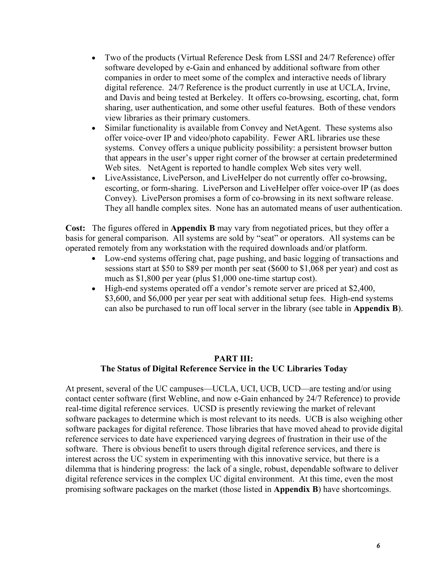- Two of the products (Virtual Reference Desk from LSSI and 24/7 Reference) offer software developed by e-Gain and enhanced by additional software from other companies in order to meet some of the complex and interactive needs of library digital reference. 24/7 Reference is the product currently in use at UCLA, Irvine, and Davis and being tested at Berkeley. It offers co-browsing, escorting, chat, form sharing, user authentication, and some other useful features. Both of these vendors view libraries as their primary customers.
- Similar functionality is available from Convey and NetAgent. These systems also offer voice-over IP and video/photo capability. Fewer ARL libraries use these systems. Convey offers a unique publicity possibility: a persistent browser button that appears in the user's upper right corner of the browser at certain predetermined Web sites. NetAgent is reported to handle complex Web sites very well.
- LiveAssistance, LivePerson, and LiveHelper do not currently offer co-browsing, escorting, or form-sharing. LivePerson and LiveHelper offer voice-over IP (as does Convey). LivePerson promises a form of co-browsing in its next software release. They all handle complex sites. None has an automated means of user authentication.

**Cost:** The figures offered in **Appendix B** may vary from negotiated prices, but they offer a basis for general comparison. All systems are sold by "seat" or operators. All systems can be operated remotely from any workstation with the required downloads and/or platform.

- Low-end systems offering chat, page pushing, and basic logging of transactions and sessions start at \$50 to \$89 per month per seat (\$600 to \$1,068 per year) and cost as much as \$1,800 per year (plus \$1,000 one-time startup cost).
- High-end systems operated off a vendor's remote server are priced at \$2,400, \$3,600, and \$6,000 per year per seat with additional setup fees. High-end systems can also be purchased to run off local server in the library (see table in **Appendix B**).

## **PART III: The Status of Digital Reference Service in the UC Libraries Today**

At present, several of the UC campuses—UCLA, UCI, UCB, UCD—are testing and/or using contact center software (first Webline, and now e-Gain enhanced by 24/7 Reference) to provide real-time digital reference services. UCSD is presently reviewing the market of relevant software packages to determine which is most relevant to its needs. UCB is also weighing other software packages for digital reference. Those libraries that have moved ahead to provide digital reference services to date have experienced varying degrees of frustration in their use of the software. There is obvious benefit to users through digital reference services, and there is interest across the UC system in experimenting with this innovative service, but there is a dilemma that is hindering progress: the lack of a single, robust, dependable software to deliver digital reference services in the complex UC digital environment. At this time, even the most promising software packages on the market (those listed in **Appendix B**) have shortcomings.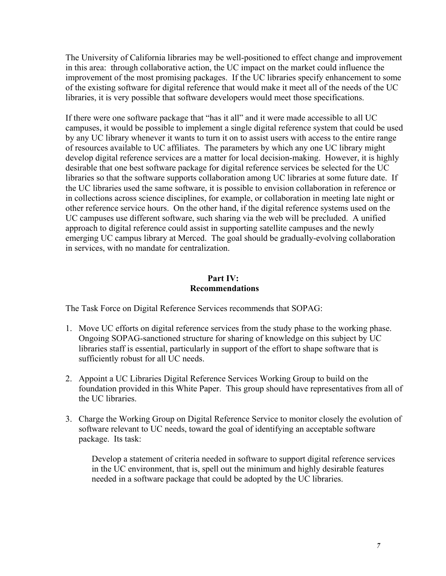The University of California libraries may be well-positioned to effect change and improvement in this area: through collaborative action, the UC impact on the market could influence the improvement of the most promising packages. If the UC libraries specify enhancement to some of the existing software for digital reference that would make it meet all of the needs of the UC libraries, it is very possible that software developers would meet those specifications.

If there were one software package that "has it all" and it were made accessible to all UC campuses, it would be possible to implement a single digital reference system that could be used by any UC library whenever it wants to turn it on to assist users with access to the entire range of resources available to UC affiliates. The parameters by which any one UC library might develop digital reference services are a matter for local decision-making. However, it is highly desirable that one best software package for digital reference services be selected for the UC libraries so that the software supports collaboration among UC libraries at some future date. If the UC libraries used the same software, it is possible to envision collaboration in reference or in collections across science disciplines, for example, or collaboration in meeting late night or other reference service hours. On the other hand, if the digital reference systems used on the UC campuses use different software, such sharing via the web will be precluded. A unified approach to digital reference could assist in supporting satellite campuses and the newly emerging UC campus library at Merced. The goal should be gradually-evolving collaboration in services, with no mandate for centralization.

### **Part IV: Recommendations**

The Task Force on Digital Reference Services recommends that SOPAG:

- 1. Move UC efforts on digital reference services from the study phase to the working phase. Ongoing SOPAG-sanctioned structure for sharing of knowledge on this subject by UC libraries staff is essential, particularly in support of the effort to shape software that is sufficiently robust for all UC needs.
- 2. Appoint a UC Libraries Digital Reference Services Working Group to build on the foundation provided in this White Paper. This group should have representatives from all of the UC libraries.
- 3. Charge the Working Group on Digital Reference Service to monitor closely the evolution of software relevant to UC needs, toward the goal of identifying an acceptable software package. Its task:

Develop a statement of criteria needed in software to support digital reference services in the UC environment, that is, spell out the minimum and highly desirable features needed in a software package that could be adopted by the UC libraries.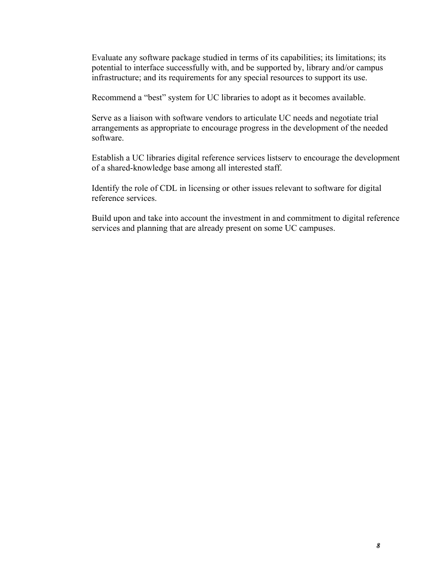Evaluate any software package studied in terms of its capabilities; its limitations; its potential to interface successfully with, and be supported by, library and/or campus infrastructure; and its requirements for any special resources to support its use.

Recommend a "best" system for UC libraries to adopt as it becomes available.

Serve as a liaison with software vendors to articulate UC needs and negotiate trial arrangements as appropriate to encourage progress in the development of the needed software.

Establish a UC libraries digital reference services listserv to encourage the development of a shared-knowledge base among all interested staff.

Identify the role of CDL in licensing or other issues relevant to software for digital reference services.

Build upon and take into account the investment in and commitment to digital reference services and planning that are already present on some UC campuses.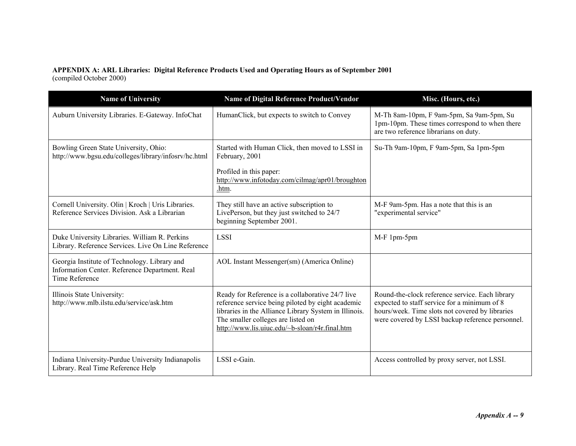#### **APPENDIX A: ARL Libraries: Digital Reference Products Used and Operating Hours as of September 2001**  (compiled October 2000)

| <b>Name of University</b>                                                                                               | Name of Digital Reference Product/Vendor                                                                                                                                                                                                               | Misc. (Hours, etc.)                                                                                                                                                                                    |
|-------------------------------------------------------------------------------------------------------------------------|--------------------------------------------------------------------------------------------------------------------------------------------------------------------------------------------------------------------------------------------------------|--------------------------------------------------------------------------------------------------------------------------------------------------------------------------------------------------------|
| Auburn University Libraries. E-Gateway. InfoChat                                                                        | HumanClick, but expects to switch to Convey                                                                                                                                                                                                            | M-Th 8am-10pm, F 9am-5pm, Sa 9am-5pm, Su<br>1pm-10pm. These times correspond to when there<br>are two reference librarians on duty.                                                                    |
| Bowling Green State University, Ohio:<br>http://www.bgsu.edu/colleges/library/infosry/hc.html                           | Started with Human Click, then moved to LSSI in<br>February, 2001<br>Profiled in this paper:<br>http://www.infotoday.com/cilmag/apr01/broughton<br>.htm.                                                                                               | Su-Th 9am-10pm, F 9am-5pm, Sa 1pm-5pm                                                                                                                                                                  |
| Cornell University. Olin   Kroch   Uris Libraries.<br>Reference Services Division. Ask a Librarian                      | They still have an active subscription to<br>LivePerson, but they just switched to 24/7<br>beginning September 2001.                                                                                                                                   | M-F 9am-5pm. Has a note that this is an<br>"experimental service"                                                                                                                                      |
| Duke University Libraries. William R. Perkins<br>Library. Reference Services. Live On Line Reference                    | <b>LSSI</b>                                                                                                                                                                                                                                            | M-F 1pm-5pm                                                                                                                                                                                            |
| Georgia Institute of Technology. Library and<br>Information Center. Reference Department. Real<br><b>Time Reference</b> | AOL Instant Messenger(sm) (America Online)                                                                                                                                                                                                             |                                                                                                                                                                                                        |
| Illinois State University:<br>http://www.mlb.ilstu.edu/service/ask.htm                                                  | Ready for Reference is a collaborative 24/7 live<br>reference service being piloted by eight academic<br>libraries in the Alliance Library System in Illinois.<br>The smaller colleges are listed on<br>http://www.lis.uiuc.edu/~b-sloan/r4r.final.htm | Round-the-clock reference service. Each library<br>expected to staff service for a minimum of 8<br>hours/week. Time slots not covered by libraries<br>were covered by LSSI backup reference personnel. |
| Indiana University-Purdue University Indianapolis<br>Library. Real Time Reference Help                                  | LSSI e-Gain.                                                                                                                                                                                                                                           | Access controlled by proxy server, not LSSI.                                                                                                                                                           |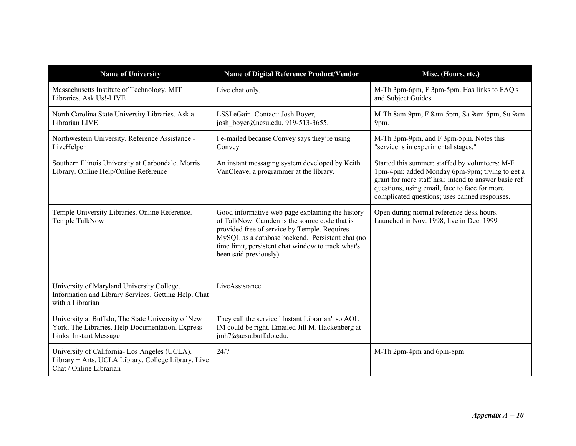| <b>Name of University</b>                                                                                                        | Name of Digital Reference Product/Vendor                                                                                                                                                                                                                                              | Misc. (Hours, etc.)                                                                                                                                                                                                                                          |
|----------------------------------------------------------------------------------------------------------------------------------|---------------------------------------------------------------------------------------------------------------------------------------------------------------------------------------------------------------------------------------------------------------------------------------|--------------------------------------------------------------------------------------------------------------------------------------------------------------------------------------------------------------------------------------------------------------|
| Massachusetts Institute of Technology. MIT<br>Libraries. Ask Us!-LIVE                                                            | Live chat only.                                                                                                                                                                                                                                                                       | M-Th 3pm-6pm, F 3pm-5pm. Has links to FAQ's<br>and Subject Guides.                                                                                                                                                                                           |
| North Carolina State University Libraries. Ask a<br>Librarian LIVE                                                               | LSSI eGain. Contact: Josh Boyer,<br>josh boyer@ncsu.edu, 919-513-3655.                                                                                                                                                                                                                | M-Th 8am-9pm, F 8am-5pm, Sa 9am-5pm, Su 9am-<br>9pm.                                                                                                                                                                                                         |
| Northwestern University. Reference Assistance -<br>LiveHelper                                                                    | I e-mailed because Convey says they're using<br>Convey                                                                                                                                                                                                                                | M-Th 3pm-9pm, and F 3pm-5pm. Notes this<br>"service is in experimental stages."                                                                                                                                                                              |
| Southern Illinois University at Carbondale. Morris<br>Library. Online Help/Online Reference                                      | An instant messaging system developed by Keith<br>VanCleave, a programmer at the library.                                                                                                                                                                                             | Started this summer; staffed by volunteers; M-F<br>1pm-4pm; added Monday 6pm-9pm; trying to get a<br>grant for more staff hrs.; intend to answer basic ref<br>questions, using email, face to face for more<br>complicated questions; uses canned responses. |
| Temple University Libraries. Online Reference.<br>Temple TalkNow                                                                 | Good informative web page explaining the history<br>of TalkNow. Camden is the source code that is<br>provided free of service by Temple. Requires<br>MySQL as a database backend. Persistent chat (no<br>time limit, persistent chat window to track what's<br>been said previously). | Open during normal reference desk hours.<br>Launched in Nov. 1998, live in Dec. 1999                                                                                                                                                                         |
| University of Maryland University College.<br>Information and Library Services. Getting Help. Chat<br>with a Librarian           | LiveAssistance                                                                                                                                                                                                                                                                        |                                                                                                                                                                                                                                                              |
| University at Buffalo, The State University of New<br>York. The Libraries. Help Documentation. Express<br>Links. Instant Message | They call the service "Instant Librarian" so AOL<br>IM could be right. Emailed Jill M. Hackenberg at<br>jmh7@acsu.buffalo.edu.                                                                                                                                                        |                                                                                                                                                                                                                                                              |
| University of California-Los Angeles (UCLA).<br>Library + Arts. UCLA Library. College Library. Live<br>Chat / Online Librarian   | 24/7                                                                                                                                                                                                                                                                                  | M-Th 2pm-4pm and 6pm-8pm                                                                                                                                                                                                                                     |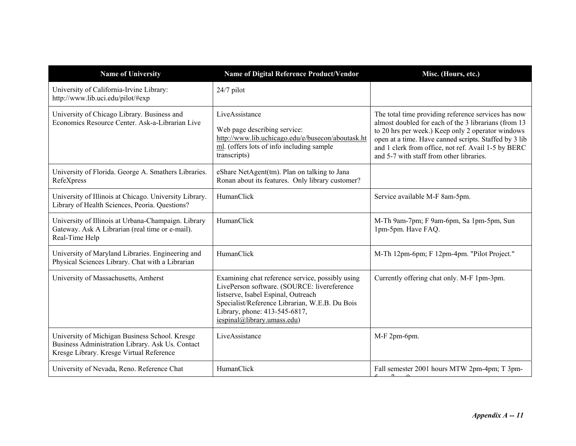| <b>Name of University</b>                                                                                                                      | Name of Digital Reference Product/Vendor                                                                                                                                                                                                                 | Misc. (Hours, etc.)                                                                                                                                                                                                                                                                                                          |
|------------------------------------------------------------------------------------------------------------------------------------------------|----------------------------------------------------------------------------------------------------------------------------------------------------------------------------------------------------------------------------------------------------------|------------------------------------------------------------------------------------------------------------------------------------------------------------------------------------------------------------------------------------------------------------------------------------------------------------------------------|
| University of California-Irvine Library:<br>http://www.lib.uci.edu/pilot/#exp                                                                  | 24/7 pilot                                                                                                                                                                                                                                               |                                                                                                                                                                                                                                                                                                                              |
| University of Chicago Library. Business and<br>Economics Resource Center, Ask-a-Librarian Live                                                 | LiveAssistance<br>Web page describing service:<br>http://www.lib.uchicago.edu/e/busecon/aboutask.ht<br>ml. (offers lots of info including sample<br>transcripts)                                                                                         | The total time providing reference services has now<br>almost doubled for each of the 3 librarians (from 13<br>to 20 hrs per week.) Keep only 2 operator windows<br>open at a time. Have canned scripts. Staffed by 3 lib<br>and 1 clerk from office, not ref. Avail 1-5 by BERC<br>and 5-7 with staff from other libraries. |
| University of Florida. George A. Smathers Libraries.<br>RefeXpress                                                                             | eShare NetAgent(tm). Plan on talking to Jana<br>Ronan about its features. Only library customer?                                                                                                                                                         |                                                                                                                                                                                                                                                                                                                              |
| University of Illinois at Chicago. University Library.<br>Library of Health Sciences, Peoria. Questions?                                       | HumanClick                                                                                                                                                                                                                                               | Service available M-F 8am-5pm.                                                                                                                                                                                                                                                                                               |
| University of Illinois at Urbana-Champaign. Library<br>Gateway. Ask A Librarian (real time or e-mail).<br>Real-Time Help                       | HumanClick                                                                                                                                                                                                                                               | M-Th 9am-7pm; F 9am-6pm, Sa 1pm-5pm, Sun<br>1pm-5pm. Have FAQ.                                                                                                                                                                                                                                                               |
| University of Maryland Libraries. Engineering and<br>Physical Sciences Library. Chat with a Librarian                                          | HumanClick                                                                                                                                                                                                                                               | M-Th 12pm-6pm; F 12pm-4pm. "Pilot Project."                                                                                                                                                                                                                                                                                  |
| University of Massachusetts, Amherst                                                                                                           | Examining chat reference service, possibly using<br>LivePerson software. (SOURCE: livereference<br>listserve, Isabel Espinal, Outreach<br>Specialist/Reference Librarian, W.E.B. Du Bois<br>Library, phone: 413-545-6817,<br>iespinal@library.umass.edu) | Currently offering chat only. M-F 1pm-3pm.                                                                                                                                                                                                                                                                                   |
| University of Michigan Business School. Kresge<br>Business Administration Library. Ask Us. Contact<br>Kresge Library. Kresge Virtual Reference | LiveAssistance                                                                                                                                                                                                                                           | M-F 2pm-6pm.                                                                                                                                                                                                                                                                                                                 |
| University of Nevada, Reno. Reference Chat                                                                                                     | HumanClick                                                                                                                                                                                                                                               | Fall semester 2001 hours MTW 2pm-4pm; T 3pm-                                                                                                                                                                                                                                                                                 |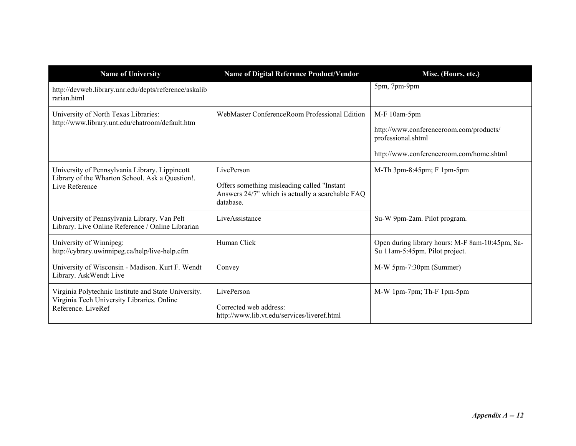| <b>Name of University</b>                                                                                                | Name of Digital Reference Product/Vendor                                                                                    | Misc. (Hours, etc.)                                                                                                       |
|--------------------------------------------------------------------------------------------------------------------------|-----------------------------------------------------------------------------------------------------------------------------|---------------------------------------------------------------------------------------------------------------------------|
| http://devweb.library.unr.edu/depts/reference/askalib<br>rarian.html                                                     |                                                                                                                             | 5pm, 7pm-9pm                                                                                                              |
| University of North Texas Libraries:<br>http://www.library.unt.edu/chatroom/default.htm                                  | WebMaster ConferenceRoom Professional Edition                                                                               | M-F 10am-5pm<br>http://www.conferenceroom.com/products/<br>professional.shtml<br>http://www.conferenceroom.com/home.shtml |
| University of Pennsylvania Library. Lippincott<br>Library of the Wharton School. Ask a Question!.<br>Live Reference      | LivePerson<br>Offers something misleading called "Instant"<br>Answers 24/7" which is actually a searchable FAQ<br>database. | M-Th 3pm-8:45pm; F 1pm-5pm                                                                                                |
| University of Pennsylvania Library. Van Pelt<br>Library. Live Online Reference / Online Librarian                        | LiveAssistance                                                                                                              | Su-W 9pm-2am. Pilot program.                                                                                              |
| University of Winnipeg:<br>http://cybrary.uwinnipeg.ca/help/live-help.cfm                                                | Human Click                                                                                                                 | Open during library hours: M-F 8am-10:45pm, Sa-<br>Su 11am-5:45pm. Pilot project.                                         |
| University of Wisconsin - Madison. Kurt F. Wendt<br>Library. AskWendt Live                                               | Convey                                                                                                                      | M-W 5pm-7:30pm (Summer)                                                                                                   |
| Virginia Polytechnic Institute and State University.<br>Virginia Tech University Libraries. Online<br>Reference, LiveRef | LivePerson<br>Corrected web address:<br>http://www.lib.vt.edu/services/liveref.html                                         | M-W 1pm-7pm; Th-F 1pm-5pm                                                                                                 |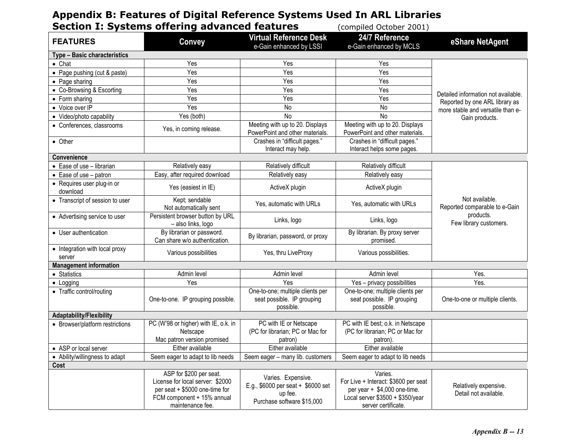# **Appendix B: Features of Digital Reference Systems Used In ARL Libraries**

| <b>Section I: Systems offering advanced features</b><br>(compiled October 2001) |                                                                                                                                                 |                                                                                                   |                                                                                                                                            |                                                 |
|---------------------------------------------------------------------------------|-------------------------------------------------------------------------------------------------------------------------------------------------|---------------------------------------------------------------------------------------------------|--------------------------------------------------------------------------------------------------------------------------------------------|-------------------------------------------------|
| <b>FEATURES</b>                                                                 | <b>Convey</b>                                                                                                                                   | <b>Virtual Reference Desk</b><br>e-Gain enhanced by LSSI                                          | 24/7 Reference<br>e-Gain enhanced by MCLS                                                                                                  | eShare NetAgent                                 |
| Type - Basic characteristics                                                    |                                                                                                                                                 |                                                                                                   |                                                                                                                                            |                                                 |
| $\bullet$ Chat                                                                  | Yes                                                                                                                                             | Yes                                                                                               | Yes                                                                                                                                        |                                                 |
| • Page pushing (cut & paste)                                                    | Yes                                                                                                                                             | Yes                                                                                               | Yes                                                                                                                                        |                                                 |
| • Page sharing                                                                  | Yes                                                                                                                                             | Yes                                                                                               | Yes                                                                                                                                        |                                                 |
| • Co-Browsing & Escorting                                                       | Yes                                                                                                                                             | Yes                                                                                               | Yes                                                                                                                                        | Detailed information not available.             |
| • Form sharing                                                                  | Yes                                                                                                                                             | Yes                                                                                               | Yes                                                                                                                                        | Reported by one ARL library as                  |
| • Voice over IP                                                                 | Yes                                                                                                                                             | No                                                                                                | No                                                                                                                                         | more stable and versatile than e-               |
| • Video/photo capability                                                        | Yes (both)                                                                                                                                      | <b>No</b>                                                                                         | No                                                                                                                                         | Gain products.                                  |
| • Conferences, classrooms                                                       | Yes, in coming release.                                                                                                                         | Meeting with up to 20. Displays<br>PowerPoint and other materials.                                | Meeting with up to 20. Displays<br>PowerPoint and other materials.                                                                         |                                                 |
| • Other                                                                         |                                                                                                                                                 | Crashes in "difficult pages."<br>Interact may help.                                               | Crashes in "difficult pages."<br>Interact helps some pages.                                                                                |                                                 |
| <b>Convenience</b>                                                              |                                                                                                                                                 |                                                                                                   |                                                                                                                                            |                                                 |
| • Ease of use - librarian                                                       | Relatively easy                                                                                                                                 | Relatively difficult                                                                              | Relatively difficult                                                                                                                       |                                                 |
| $\bullet$ Ease of use – patron                                                  | Easy, after required download                                                                                                                   | Relatively easy                                                                                   | Relatively easy                                                                                                                            |                                                 |
| • Requires user plug-in or<br>download                                          | Yes (easiest in IE)                                                                                                                             | ActiveX plugin                                                                                    | ActiveX plugin                                                                                                                             |                                                 |
| • Transcript of session to user                                                 | Kept; sendable<br>Not automatically sent                                                                                                        | Yes, automatic with URLs                                                                          | Yes, automatic with URLs                                                                                                                   | Not available.<br>Reported comparable to e-Gain |
| • Advertising service to user                                                   | Persistent browser button by URL<br>- also links, logo                                                                                          | Links, logo                                                                                       | Links, logo                                                                                                                                | products.<br>Few library customers.             |
| • User authentication                                                           | By librarian or password.<br>Can share w/o authentication.                                                                                      | By librarian, password, or proxy                                                                  | By librarian. By proxy server<br>promised.                                                                                                 |                                                 |
| • Integration with local proxy<br>server                                        | Various possibilities                                                                                                                           | Yes, thru LiveProxy                                                                               | Various possibilities.                                                                                                                     |                                                 |
| <b>Management information</b>                                                   |                                                                                                                                                 |                                                                                                   |                                                                                                                                            |                                                 |
| • Statistics                                                                    | Admin level                                                                                                                                     | Admin level                                                                                       | Admin level                                                                                                                                | Yes.                                            |
| $\bullet$ Logging                                                               | Yes                                                                                                                                             | Yes                                                                                               | Yes - privacy possibilities                                                                                                                | Yes.                                            |
| • Traffic control/routing                                                       | One-to-one. IP grouping possible.                                                                                                               | One-to-one; multiple clients per<br>seat possible. IP grouping<br>possible.                       | One-to-one; multiple clients per<br>seat possible. IP grouping<br>possible.                                                                | One-to-one or multiple clients.                 |
| Adaptability/Flexibility                                                        |                                                                                                                                                 |                                                                                                   |                                                                                                                                            |                                                 |
| • Browser/platform restrictions                                                 | PC (W'98 or higher) with IE, o.k. in<br>Netscape<br>Mac patron version promised                                                                 | PC with IE or Netscape<br>(PC for librarian; PC or Mac for<br>patron)                             | PC with IE best; o.k. in Netscape<br>(PC for librarian; PC or Mac for<br>patron).                                                          |                                                 |
| • ASP or local server                                                           | Either available                                                                                                                                | Either available                                                                                  | Either available                                                                                                                           |                                                 |
| • Ability/willingness to adapt                                                  | Seem eager to adapt to lib needs                                                                                                                | Seem eager - many lib. customers                                                                  | Seem eager to adapt to lib needs                                                                                                           |                                                 |
| Cost                                                                            |                                                                                                                                                 |                                                                                                   |                                                                                                                                            |                                                 |
|                                                                                 | ASP for \$200 per seat.<br>License for local server: \$2000<br>per seat + \$5000 one-time for<br>FCM component + 15% annual<br>maintenance fee. | Varies. Expensive.<br>E.g., \$6000 per seat + \$6000 set<br>up fee.<br>Purchase software \$15,000 | Varies.<br>For Live + Interact: \$3600 per seat<br>per year + \$4,000 one-time.<br>Local server \$3500 + \$350/year<br>server certificate. | Relatively expensive.<br>Detail not available.  |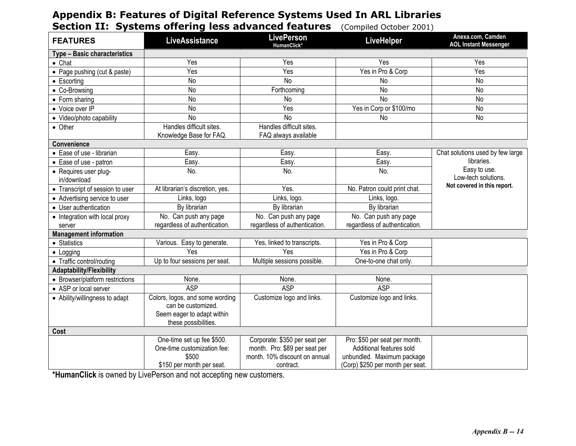# **Appendix B: Features of Digital Reference Systems Used In ARL Libraries Section II: Systems offering less advanced features** (Compiled October 2001)

| <b>FEATURES</b>                      | <b>LiveAssistance</b>                                 | <b>LivePerson</b><br>HumanClick* | LiveHelper                       | Anexa.com, Camden<br><b>AOL Instant Messenger</b> |
|--------------------------------------|-------------------------------------------------------|----------------------------------|----------------------------------|---------------------------------------------------|
| <b>Type - Basic characteristics</b>  |                                                       |                                  |                                  |                                                   |
| $\bullet$ Chat                       | Yes                                                   | Yes                              | Yes                              | Yes                                               |
| • Page pushing (cut & paste)         | Yes                                                   | Yes                              | Yes in Pro & Corp                | Yes                                               |
| $\bullet$ Escorting                  | <b>No</b>                                             | No                               | No                               | No                                                |
| • Co-Browsing                        | N <sub>o</sub>                                        | Forthcoming                      | <b>No</b>                        | <b>No</b>                                         |
| • Form sharing                       | No                                                    | No                               | <b>No</b>                        | <b>No</b>                                         |
| • Voice over IP                      | No                                                    | Yes                              | Yes in Corp or \$100/mo          | No                                                |
| • Video/photo capability             | <b>No</b>                                             | $\overline{N}$                   | No                               | No                                                |
| • Other                              | Handles difficult sites.                              | Handles difficult sites.         |                                  |                                                   |
|                                      | Knowledge Base for FAQ.                               | FAQ always available             |                                  |                                                   |
| Convenience                          |                                                       |                                  |                                  |                                                   |
| • Ease of use - librarian            | Easy.                                                 | Easy.                            | Easy.                            | Chat solutions used by few large                  |
| • Ease of use - patron               | Easy.                                                 | Easy.                            | Easy.                            | libraries.                                        |
| • Requires user plug-<br>in/download | No.                                                   | No.                              | No.                              | Easy to use.<br>Low-tech solutions.               |
| • Transcript of session to user      | At librarian's discretion, yes.                       | Yes.                             | No. Patron could print chat.     | Not covered in this report.                       |
| • Advertising service to user        | Links, logo                                           | Links, logo.                     | Links, logo.                     |                                                   |
| • User authentication                | By librarian                                          | By librarian                     | By librarian                     |                                                   |
| • Integration with local proxy       | No. Can push any page                                 | No. Can push any page            | No. Can push any page            |                                                   |
| server                               | regardless of authentication.                         | regardless of authentication.    | regardless of authentication.    |                                                   |
| <b>Management information</b>        |                                                       |                                  |                                  |                                                   |
| • Statistics                         | Various. Easy to generate.                            | Yes, linked to transcripts.      | Yes in Pro & Corp                |                                                   |
| $\bullet$ Logging                    | Yes                                                   | Yes                              | Yes in Pro & Corp                |                                                   |
| • Traffic control/routing            | Up to four sessions per seat.                         | Multiple sessions possible.      | One-to-one chat only.            |                                                   |
| Adaptability/Flexibility             |                                                       |                                  |                                  |                                                   |
| • Browser/platform restrictions      | None.                                                 | None.                            | None.                            |                                                   |
| • ASP or local server                | <b>ASP</b>                                            | <b>ASP</b>                       | <b>ASP</b>                       |                                                   |
| • Ability/willingness to adapt       | Colors, logos, and some wording<br>can be customized. | Customize logo and links.        | Customize logo and links.        |                                                   |
|                                      | Seem eager to adapt within                            |                                  |                                  |                                                   |
|                                      | these possibilities.                                  |                                  |                                  |                                                   |
| Cost                                 |                                                       |                                  |                                  |                                                   |
|                                      | One-time set up fee \$500.                            | Corporate: \$350 per seat per    | Pro: \$50 per seat per month.    |                                                   |
|                                      | One-time customization fee:                           | month. Pro: \$89 per seat per    | Additional features sold         |                                                   |
|                                      | \$500                                                 | month. 10% discount on annual    | unbundled. Maximum package       |                                                   |
|                                      | \$150 per month per seat.                             | contract.                        | (Corp) \$250 per month per seat. |                                                   |

**\*HumanClick** is owned by LivePerson and not accepting new customers.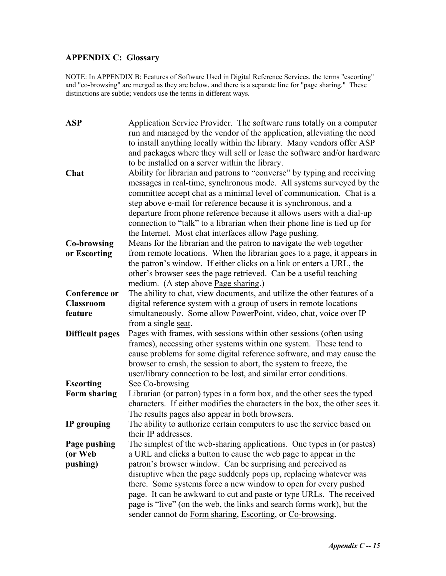# **APPENDIX C: Glossary**

NOTE: In APPENDIX B: Features of Software Used in Digital Reference Services, the terms "escorting" and "co-browsing" are merged as they are below, and there is a separate line for "page sharing." These distinctions are subtle; vendors use the terms in different ways.

| <b>ASP</b>             | Application Service Provider. The software runs totally on a computer        |
|------------------------|------------------------------------------------------------------------------|
|                        | run and managed by the vendor of the application, alleviating the need       |
|                        | to install anything locally within the library. Many vendors offer ASP       |
|                        | and packages where they will sell or lease the software and/or hardware      |
|                        | to be installed on a server within the library.                              |
| Chat                   | Ability for librarian and patrons to "converse" by typing and receiving      |
|                        | messages in real-time, synchronous mode. All systems surveyed by the         |
|                        | committee accept chat as a minimal level of communication. Chat is a         |
|                        | step above e-mail for reference because it is synchronous, and a             |
|                        | departure from phone reference because it allows users with a dial-up        |
|                        | connection to "talk" to a librarian when their phone line is tied up for     |
|                        | the Internet. Most chat interfaces allow <u>Page pushing</u> .               |
| <b>Co-browsing</b>     | Means for the librarian and the patron to navigate the web together          |
| or Escorting           | from remote locations. When the librarian goes to a page, it appears in      |
|                        | the patron's window. If either clicks on a link or enters a URL, the         |
|                        | other's browser sees the page retrieved. Can be a useful teaching            |
|                        | medium. (A step above Page sharing.)                                         |
| <b>Conference or</b>   | The ability to chat, view documents, and utilize the other features of a     |
| <b>Classroom</b>       | digital reference system with a group of users in remote locations           |
| feature                | simultaneously. Some allow PowerPoint, video, chat, voice over IP            |
|                        | from a single seat.                                                          |
| <b>Difficult pages</b> | Pages with frames, with sessions within other sessions (often using          |
|                        | frames), accessing other systems within one system. These tend to            |
|                        | cause problems for some digital reference software, and may cause the        |
|                        | browser to crash, the session to abort, the system to freeze, the            |
|                        | user/library connection to be lost, and similar error conditions.            |
| <b>Escorting</b>       | See Co-browsing                                                              |
| <b>Form sharing</b>    | Librarian (or patron) types in a form box, and the other sees the typed      |
|                        | characters. If either modifies the characters in the box, the other sees it. |
|                        | The results pages also appear in both browsers.                              |
| IP grouping            | The ability to authorize certain computers to use the service based on       |
|                        | their IP addresses.                                                          |
| Page pushing           | The simplest of the web-sharing applications. One types in (or pastes)       |
| (or Web                | a URL and clicks a button to cause the web page to appear in the             |
| pushing)               | patron's browser window. Can be surprising and perceived as                  |
|                        | disruptive when the page suddenly pops up, replacing whatever was            |
|                        | there. Some systems force a new window to open for every pushed              |
|                        | page. It can be awkward to cut and paste or type URLs. The received          |
|                        | page is "live" (on the web, the links and search forms work), but the        |
|                        | sender cannot do Form sharing, Escorting, or Co-browsing.                    |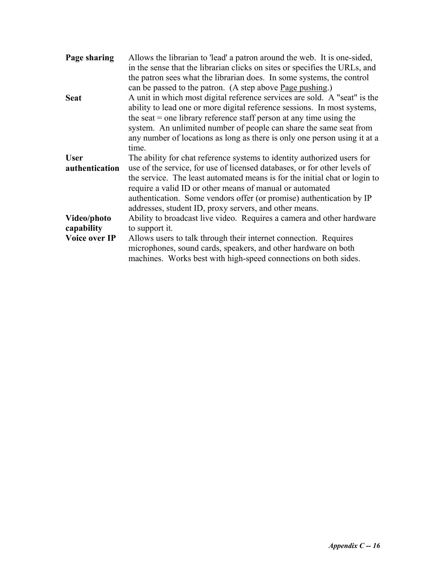| Page sharing   | Allows the librarian to 'lead' a patron around the web. It is one-sided,   |
|----------------|----------------------------------------------------------------------------|
|                | in the sense that the librarian clicks on sites or specifies the URLs, and |
|                | the patron sees what the librarian does. In some systems, the control      |
|                | can be passed to the patron. (A step above <u>Page pushing</u> .)          |
| <b>Seat</b>    | A unit in which most digital reference services are sold. A "seat" is the  |
|                | ability to lead one or more digital reference sessions. In most systems,   |
|                | the seat $=$ one library reference staff person at any time using the      |
|                | system. An unlimited number of people can share the same seat from         |
|                | any number of locations as long as there is only one person using it at a  |
|                | time.                                                                      |
| <b>User</b>    | The ability for chat reference systems to identity authorized users for    |
| authentication | use of the service, for use of licensed databases, or for other levels of  |
|                | the service. The least automated means is for the initial chat or login to |
|                | require a valid ID or other means of manual or automated                   |
|                | authentication. Some vendors offer (or promise) authentication by IP       |
|                | addresses, student ID, proxy servers, and other means.                     |
| Video/photo    | Ability to broadcast live video. Requires a camera and other hardware      |
| capability     | to support it.                                                             |
| Voice over IP  | Allows users to talk through their internet connection. Requires           |
|                | microphones, sound cards, speakers, and other hardware on both             |
|                | machines. Works best with high-speed connections on both sides.            |
|                |                                                                            |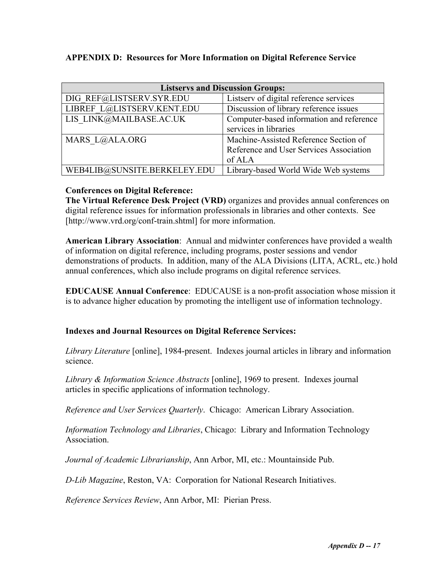## **APPENDIX D: Resources for More Information on Digital Reference Service**

| <b>Listservs and Discussion Groups:</b> |                                          |  |
|-----------------------------------------|------------------------------------------|--|
| DIG REF@LISTSERV.SYR.EDU                | Listserv of digital reference services   |  |
| LIBREF L@LISTSERV.KENT.EDU              | Discussion of library reference issues   |  |
| LIS LINK@MAILBASE.AC.UK                 | Computer-based information and reference |  |
|                                         | services in libraries                    |  |
| MARS L@ALA.ORG                          | Machine-Assisted Reference Section of    |  |
|                                         | Reference and User Services Association  |  |
|                                         | of ALA                                   |  |
| WEB4LIB@SUNSITE.BERKELEY.EDU            | Library-based World Wide Web systems     |  |

### **Conferences on Digital Reference:**

**The Virtual Reference Desk Project (VRD)** organizes and provides annual conferences on digital reference issues for information professionals in libraries and other contexts. See [http://www.vrd.org/conf-train.shtml] for more information.

**American Library Association**: Annual and midwinter conferences have provided a wealth of information on digital reference, including programs, poster sessions and vendor demonstrations of products. In addition, many of the ALA Divisions (LITA, ACRL, etc.) hold annual conferences, which also include programs on digital reference services.

**EDUCAUSE Annual Conference**: EDUCAUSE is a non-profit association whose mission it is to advance higher education by promoting the intelligent use of information technology.

## **Indexes and Journal Resources on Digital Reference Services:**

*Library Literature* [online], 1984-present. Indexes journal articles in library and information science.

*Library & Information Science Abstracts* [online], 1969 to present. Indexes journal articles in specific applications of information technology.

*Reference and User Services Quarterly*. Chicago: American Library Association.

*Information Technology and Libraries*, Chicago: Library and Information Technology Association.

*Journal of Academic Librarianship*, Ann Arbor, MI, etc.: Mountainside Pub.

*D-Lib Magazine*, Reston, VA: Corporation for National Research Initiatives.

*Reference Services Review*, Ann Arbor, MI: Pierian Press.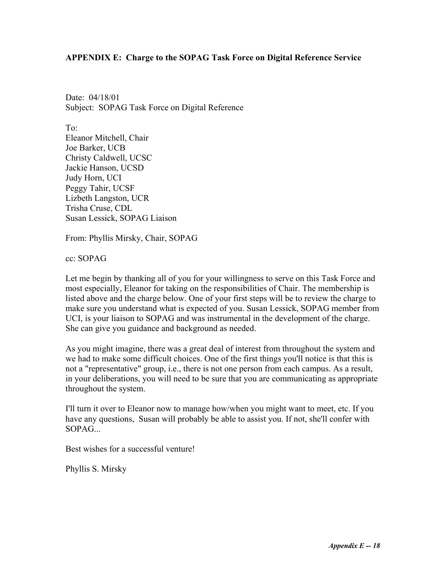#### **APPENDIX E: Charge to the SOPAG Task Force on Digital Reference Service**

Date: 04/18/01 Subject: SOPAG Task Force on Digital Reference

To: Eleanor Mitchell, Chair Joe Barker, UCB Christy Caldwell, UCSC Jackie Hanson, UCSD Judy Horn, UCI Peggy Tahir, UCSF Lizbeth Langston, UCR Trisha Cruse, CDL Susan Lessick, SOPAG Liaison

From: Phyllis Mirsky, Chair, SOPAG

cc: SOPAG

Let me begin by thanking all of you for your willingness to serve on this Task Force and most especially, Eleanor for taking on the responsibilities of Chair. The membership is listed above and the charge below. One of your first steps will be to review the charge to make sure you understand what is expected of you. Susan Lessick, SOPAG member from UCI, is your liaison to SOPAG and was instrumental in the development of the charge. She can give you guidance and background as needed.

As you might imagine, there was a great deal of interest from throughout the system and we had to make some difficult choices. One of the first things you'll notice is that this is not a "representative" group, i.e., there is not one person from each campus. As a result, in your deliberations, you will need to be sure that you are communicating as appropriate throughout the system.

I'll turn it over to Eleanor now to manage how/when you might want to meet, etc. If you have any questions, Susan will probably be able to assist you. If not, she'll confer with  $SOPAG$ ...

Best wishes for a successful venture!

Phyllis S. Mirsky